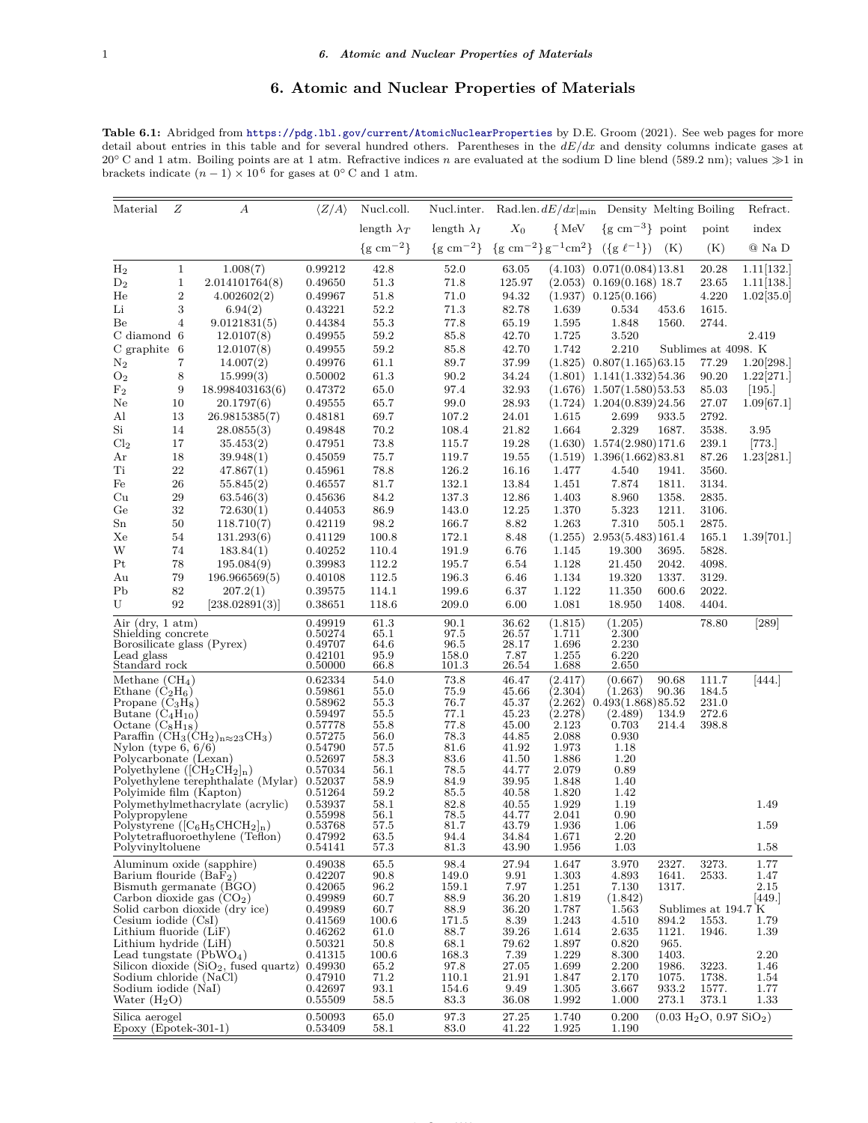## **6. Atomic and Nuclear Properties of Materials**

**Table 6.1:** Abridged from <https://pdg.lbl.gov/current/AtomicNuclearProperties> by D.E. Groom (2021). See web pages for more detail about entries in this table and for several hundred others. Parentheses in the *dE/dx* and density columns indicate gases at 20<sup>°</sup> C and 1 atm. Boiling points are at 1 atm. Refractive indices *n* are evaluated at the sodium D line blend (589.2 nm); values ≫1 in brackets indicate  $(n-1) \times 10^6$  for gases at 0<sup>°</sup> C and 1 atm.

| Material                                                         | Ζ              | А                                                                    | $\langle Z/A \rangle$ | Nucl.coll.               | Nucl.inter.              |                |                                           | Rad.len. $dE/dx _{\text{min}}$ Density Melting Boiling |                |                                                  | Refract.     |
|------------------------------------------------------------------|----------------|----------------------------------------------------------------------|-----------------------|--------------------------|--------------------------|----------------|-------------------------------------------|--------------------------------------------------------|----------------|--------------------------------------------------|--------------|
|                                                                  |                |                                                                      |                       | length $\lambda_T$       | length $\lambda_I$       | $X_0$          | $\{MeV$                                   | $\{g \text{ cm}^{-3}\}\$ point                         |                | point                                            | index        |
|                                                                  |                |                                                                      |                       | $\{g \text{ cm}^{-2}\}\$ | $\{g \text{ cm}^{-2}\}\$ |                | ${g \text{ cm}^{-2} g^{-1} \text{ cm}^2}$ | $({g \ell^{-1}})$                                      | (K)            | (K)                                              | @ Na D       |
| H <sub>2</sub>                                                   | $\mathbf{1}$   | 1.008(7)                                                             | 0.99212               | 42.8                     | 52.0                     | 63.05          | (4.103)                                   | 0.071(0.084)13.81                                      |                | 20.28                                            | 1.11 132.    |
| $D_2$                                                            | $\mathbf{1}$   | 2.014101764(8)                                                       | 0.49650               | 51.3                     | 71.8                     | 125.97         | (2.053)                                   | $0.169(0.168)$ 18.7                                    |                | 23.65                                            | 1.11 138.    |
| He                                                               | $\,2$          | 4.002602(2)                                                          | 0.49967               | 51.8                     | 71.0                     | 94.32          | (1.937)                                   | 0.125(0.166)                                           |                | 4.220                                            | 1.02[35.0]   |
| Li                                                               | 3              | 6.94(2)                                                              | 0.43221               | 52.2                     | 71.3                     | 82.78          | 1.639                                     | 0.534                                                  | 453.6          | 1615.                                            |              |
| Be                                                               | $\overline{4}$ | 9.0121831(5)                                                         | 0.44384               | 55.3                     | 77.8                     | 65.19          | 1.595                                     | 1.848                                                  | 1560.          | 2744.                                            |              |
| C diamond 6                                                      |                | 12.0107(8)                                                           | 0.49955               | 59.2                     | 85.8                     | 42.70          | 1.725                                     | 3.520                                                  |                |                                                  | 2.419        |
| C graphite                                                       | -6             | 12.0107(8)                                                           | 0.49955               | 59.2                     | 85.8                     | 42.70          | 1.742                                     | 2.210                                                  |                | Sublimes at 4098. K                              |              |
| $\mathrm{N}_2$                                                   | 7              | 14.007(2)                                                            | 0.49976               | 61.1                     | 89.7                     | 37.99          | (1.825)                                   | 0.807(1.165)63.15                                      |                | 77.29                                            | 1.20 298.    |
| O <sub>2</sub>                                                   | 8              | 15.999(3)                                                            | 0.50002               | 61.3                     | 90.2                     | 34.24          | (1.801)                                   | 1.141(1.332)54.36                                      |                | 90.20                                            | 1.22 271.    |
| F <sub>2</sub>                                                   | 9              | 18.998403163(6)                                                      | 0.47372               | 65.0                     | 97.4                     | 32.93          |                                           | $(1.676)$ 1.507 $(1.580)$ 53.53                        |                | 85.03                                            | [195.]       |
| Ne                                                               | 10             | 20.1797(6)                                                           | 0.49555               | 65.7                     | 99.0                     | 28.93          | (1.724)                                   | 1.204(0.839)24.56                                      |                | 27.07                                            | 1.09[67.1]   |
| Al                                                               | 13             | 26.9815385(7)                                                        | 0.48181               | 69.7                     | 107.2                    | 24.01          | 1.615                                     | 2.699                                                  | 933.5          | 2792.                                            |              |
| Si                                                               | 14             | 28.0855(3)                                                           | 0.49848               | 70.2                     | 108.4                    | 21.82          | 1.664                                     | 2.329                                                  | 1687.          | 3538.                                            | 3.95         |
| Cl <sub>2</sub>                                                  | 17             | 35.453(2)                                                            | 0.47951               | 73.8                     | 115.7                    | 19.28          |                                           | $(1.630)$ $1.574(2.980)171.6$                          |                | 239.1                                            | [773.]       |
| Ar                                                               | 18             | 39.948(1)                                                            | 0.45059               | 75.7                     | 119.7                    | 19.55          | (1.519)                                   | 1.396(1.662)83.81                                      |                | 87.26                                            | 1.23[281.]   |
| Ti                                                               | 22             | 47.867(1)                                                            | 0.45961               | 78.8                     | 126.2                    | 16.16          | 1.477                                     | 4.540                                                  | 1941.          | 3560.                                            |              |
| Fe                                                               | 26             | 55.845(2)                                                            | 0.46557               | 81.7                     | 132.1                    | 13.84          | 1.451                                     | 7.874                                                  | 1811.          | 3134.                                            |              |
| Cu                                                               | 29             | 63.546(3)                                                            | 0.45636               | 84.2                     | 137.3                    | 12.86          | 1.403                                     | 8.960                                                  | 1358.          | 2835.                                            |              |
| Ge                                                               | $32\,$         | 72.630(1)                                                            | 0.44053               | 86.9                     | 143.0                    | 12.25          | 1.370                                     | 5.323                                                  | 1211.          | 3106.                                            |              |
| $_{\rm Sn}$                                                      | 50             | 118.710(7)                                                           | 0.42119               | 98.2                     | 166.7                    | 8.82           | 1.263                                     | 7.310                                                  | 505.1          | 2875.                                            |              |
| Xe                                                               | 54             | 131.293(6)                                                           | 0.41129               | 100.8                    | 172.1                    | 8.48           | (1.255)                                   | 2.953(5.483)161.4                                      |                | 165.1                                            | 1.39[701.]   |
| W                                                                | 74             | 183.84(1)                                                            | 0.40252               | 110.4                    | 191.9                    | 6.76           | 1.145                                     | 19.300                                                 | 3695.          | 5828.                                            |              |
| Pt                                                               | 78             | 195.084(9)                                                           | 0.39983               | 112.2                    | 195.7                    | 6.54           | 1.128                                     | 21.450                                                 | 2042.          | 4098.                                            |              |
| Au                                                               | 79             | 196.966569(5)                                                        | 0.40108               | 112.5                    | 196.3                    | 6.46           | 1.134                                     | 19.320                                                 | 1337.          | 3129.                                            |              |
| Pb                                                               | 82             | 207.2(1)                                                             | 0.39575               | 114.1                    | 199.6                    | 6.37           | 1.122                                     | 11.350                                                 | 600.6          | 2022.                                            |              |
| U                                                                | 92             | [238.02891(3)]                                                       | 0.38651               | 118.6                    | 209.0                    | 6.00           | 1.081                                     | 18.950                                                 | 1408.          | 4404.                                            |              |
| Air (dry, $1 \text{ atm}$ )                                      |                |                                                                      | 0.49919               | 61.3                     | 90.1                     | 36.62          | (1.815)                                   | (1.205)                                                |                | 78.80                                            | [289]        |
| Shielding concrete                                               |                |                                                                      | 0.50274               | 65.1                     | 97.5                     | 26.57          | 1.711                                     | 2.300                                                  |                |                                                  |              |
| Lead glass                                                       |                | Borosilicate glass (Pyrex)                                           | 0.49707<br>0.42101    | 64.6<br>95.9             | 96.5<br>158.0            | 28.17<br>7.87  | 1.696<br>1.255                            | 2.230<br>6.220                                         |                |                                                  |              |
| Standard rock                                                    |                |                                                                      | 0.50000               | 66.8                     | 101.3                    | 26.54          | 1.688                                     | 2.650                                                  |                |                                                  |              |
| Methane $(CH_4)$                                                 |                |                                                                      | 0.62334               | 54.0                     | 73.8                     | 46.47          | (2.417)                                   | (0.667)                                                | 90.68          | 111.7                                            | 444.         |
| Ethane $(C_2H_6)$                                                |                |                                                                      | 0.59861               | 55.0                     | 75.9                     | 45.66          | (2.304)                                   | (1.263)                                                | 90.36          | 184.5                                            |              |
| Propane $(C_3H_8)$                                               |                |                                                                      | 0.58962               | 55.3                     | 76.7                     | 45.37          | (2.262)                                   | 0.493(1.868)85.52                                      |                | 231.0                                            |              |
| Butane $(C_4H_{10})$<br>Octane $(C_8H_{18})$                     |                |                                                                      | 0.59497<br>0.57778    | 55.5<br>55.8             | 77.1<br>77.8             | 45.23<br>45.00 | (2.278)<br>2.123                          | (2.489)<br>0.703                                       | 134.9<br>214.4 | 272.6<br>398.8                                   |              |
|                                                                  |                | Paraffin $\tilde{\text{CH}}_3(\text{CH}_2)_{n\approx 23}\text{CH}_3$ | 0.57275               | 56.0                     | 78.3                     | 44.85          | 2.088                                     | 0.930                                                  |                |                                                  |              |
| Nylon (type $6, 6/6$ )                                           |                |                                                                      | 0.54790               | 57.5                     | 81.6                     | 41.92          | 1.973                                     | 1.18                                                   |                |                                                  |              |
| Polycarbonate (Lexan)                                            |                |                                                                      | 0.52697               | 58.3                     | 83.6                     | 41.50          | 1.886                                     | 1.20                                                   |                |                                                  |              |
| Polyethylene ( $[CH_2CH_2]_n$ )                                  |                |                                                                      | 0.57034               | 56.1                     | 78.5                     | 44.77          | 2.079                                     | 0.89                                                   |                |                                                  |              |
| Polyimide film (Kapton)                                          |                | Polyethylene terephthalate (Mylar)                                   | 0.52037<br>0.51264    | 58.9<br>59.2             | 84.9<br>85.5             | 39.95<br>40.58 | 1.848<br>1.820                            | 1.40<br>1.42                                           |                |                                                  |              |
|                                                                  |                | Polymethylmethacrylate (acrylic)                                     | 0.53937               | 58.1                     | 82.8                     | 40.55          | 1.929                                     | 1.19                                                   |                |                                                  | 1.49         |
| Polypropylene                                                    |                |                                                                      | 0.55998               | 56.1                     | 78.5                     | 44.77          | 2.041                                     | 0.90                                                   |                |                                                  |              |
|                                                                  |                | Polystyrene $(C_6H_5CHCH_2]_n)$                                      | 0.53768               | 57.5                     | 81.7                     | 43.79          | 1.936                                     | 1.06                                                   |                |                                                  | 1.59         |
| Polyvinyltoluene                                                 |                | Polytetrafluoroethylene (Teflon)                                     | 0.47992<br>0.54141    | 63.5<br>57.3             | 94.4<br>81.3             | 34.84<br>43.90 | 1.671<br>1.956                            | 2.20<br>1.03                                           |                |                                                  | 1.58         |
|                                                                  |                | Aluminum oxide (sapphire)                                            | 0.49038               | 65.5                     | 98.4                     | 27.94          | 1.647                                     | 3.970                                                  | 2327.          | 3273.                                            | 1.77         |
| Barium flouride $(BaF2)$                                         |                |                                                                      | 0.42207               | 90.8                     | 149.0                    | 9.91           | 1.303                                     | 4.893                                                  | 1641.          | 2533.                                            | 1.47         |
| Bismuth germanate (BGO)                                          |                |                                                                      | 0.42065               | 96.2                     | 159.1                    | 7.97           | 1.251                                     | 7.130                                                  | 1317.          |                                                  | 2.15         |
| Carbon dioxide gas $(CO2)$                                       |                |                                                                      | 0.49989               | 60.7                     | 88.9                     | 36.20          | 1.819                                     | (1.842)                                                |                |                                                  | 449.         |
| Solid carbon dioxide (dry ice)<br>$Cesium$ iodide $(CsI)$        |                |                                                                      | 0.49989<br>0.41569    | 60.7<br>100.6            | 88.9<br>171.5            | 36.20<br>8.39  | 1.787<br>1.243                            | 1.563<br>4.510                                         | 894.2          | Sublimes at 194.7 K<br>1553.                     | 1.79         |
| Lithium fluoride (LiF)                                           |                |                                                                      | 0.46262               | 61.0                     | 88.7                     | 39.26          | 1.614                                     | 2.635                                                  | 1121.          | 1946.                                            | 1.39         |
| Lithium hydride (LiH)                                            |                |                                                                      | 0.50321               | 50.8                     | 68.1                     | 79.62          | 1.897                                     | 0.820                                                  | 965.           |                                                  |              |
| Lead tungstate $(\text{PbWO}_4)$                                 |                |                                                                      | 0.41315               | 100.6                    | 168.3                    | 7.39           | 1.229                                     | 8.300                                                  | 1403.          |                                                  | 2.20         |
| Silicon dioxide $(SiO2, fused quartz)$<br>Sodium chloride (NaCl) |                |                                                                      | 0.49930               | 65.2                     | 97.8                     | 27.05          | 1.699                                     | 2.200                                                  | 1986.          | 3223.                                            | 1.46         |
| Sodium iodide (NaI)                                              |                |                                                                      | 0.47910<br>0.42697    | 71.2<br>93.1             | 110.1<br>154.6           | 21.91<br>9.49  | 1.847<br>1.305                            | 2.170                                                  | 1075.<br>933.2 | 1738.<br>1577.                                   | 1.54<br>1.77 |
| Water $(H2O)$                                                    |                |                                                                      | 0.55509               | 58.5                     | 83.3                     | 36.08          | 1.992                                     | 3.667<br>1.000                                         | 273.1          | 373.1                                            | 1.33         |
| Silica aerogel                                                   |                |                                                                      | 0.50093               | 65.0                     | 97.3                     | 27.25          | 1.740                                     | 0.200                                                  |                | $(0.03 \text{ H}_2\text{O}, 0.97 \text{ SiO}_2)$ |              |
| Epoxy (Epotek-301-1)                                             |                |                                                                      | 0.53409               | 58.1                     | 83.0                     | 41.22          | 1.925                                     | 1.190                                                  |                |                                                  |              |